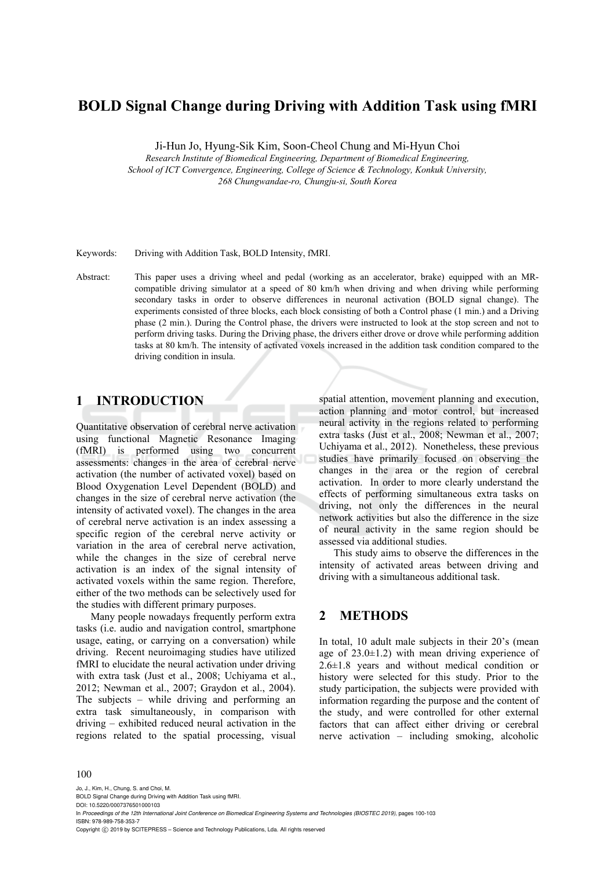## **BOLD Signal Change during Driving with Addition Task using fMRI**

Ji-Hun Jo, Hyung-Sik Kim, Soon-Cheol Chung and Mi-Hyun Choi

*Research Institute of Biomedical Engineering, Department of Biomedical Engineering, School of ICT Convergence, Engineering, College of Science & Technology, Konkuk University, 268 Chungwandae-ro, Chungju-si, South Korea* 

Keywords: Driving with Addition Task, BOLD Intensity, fMRI.

Abstract: This paper uses a driving wheel and pedal (working as an accelerator, brake) equipped with an MRcompatible driving simulator at a speed of 80 km/h when driving and when driving while performing secondary tasks in order to observe differences in neuronal activation (BOLD signal change). The experiments consisted of three blocks, each block consisting of both a Control phase (1 min.) and a Driving phase (2 min.). During the Control phase, the drivers were instructed to look at the stop screen and not to perform driving tasks. During the Driving phase, the drivers either drove or drove while performing addition tasks at 80 km/h. The intensity of activated voxels increased in the addition task condition compared to the driving condition in insula.

## **1 INTRODUCTION**

Quantitative observation of cerebral nerve activation using functional Magnetic Resonance Imaging (fMRI) is performed using two concurrent assessments: changes in the area of cerebral nerve activation (the number of activated voxel) based on Blood Oxygenation Level Dependent (BOLD) and changes in the size of cerebral nerve activation (the intensity of activated voxel). The changes in the area of cerebral nerve activation is an index assessing a specific region of the cerebral nerve activity or variation in the area of cerebral nerve activation, while the changes in the size of cerebral nerve activation is an index of the signal intensity of activated voxels within the same region. Therefore, either of the two methods can be selectively used for the studies with different primary purposes.

Many people nowadays frequently perform extra tasks (i.e. audio and navigation control, smartphone usage, eating, or carrying on a conversation) while driving. Recent neuroimaging studies have utilized fMRI to elucidate the neural activation under driving with extra task (Just et al., 2008; Uchiyama et al., 2012; Newman et al., 2007; Graydon et al., 2004). The subjects – while driving and performing an extra task simultaneously, in comparison with driving – exhibited reduced neural activation in the regions related to the spatial processing, visual

spatial attention, movement planning and execution, action planning and motor control, but increased neural activity in the regions related to performing extra tasks (Just et al., 2008; Newman et al., 2007; Uchiyama et al., 2012). Nonetheless, these previous studies have primarily focused on observing the changes in the area or the region of cerebral activation. In order to more clearly understand the effects of performing simultaneous extra tasks on driving, not only the differences in the neural network activities but also the difference in the size of neural activity in the same region should be assessed via additional studies.

This study aims to observe the differences in the intensity of activated areas between driving and driving with a simultaneous additional task.

### **2 METHODS**

In total, 10 adult male subjects in their 20's (mean age of  $23.0 \pm 1.2$ ) with mean driving experience of 2.6±1.8 years and without medical condition or history were selected for this study. Prior to the study participation, the subjects were provided with information regarding the purpose and the content of the study, and were controlled for other external factors that can affect either driving or cerebral nerve activation – including smoking, alcoholic

#### 100

Jo, J., Kim, H., Chung, S. and Choi, M. BOLD Signal Change during Driving with Addition Task using fMRI. DOI: 10.5220/0007376501000103

In *Proceedings of the 12th International Joint Conference on Biomedical Engineering Systems and Technologies (BIOSTEC 2019)*, pages 100-103 ISBN: 978-989-758-353-7

Copyright  $\odot$  2019 by SCITEPRESS - Science and Technology Publications, Lda. All rights reserved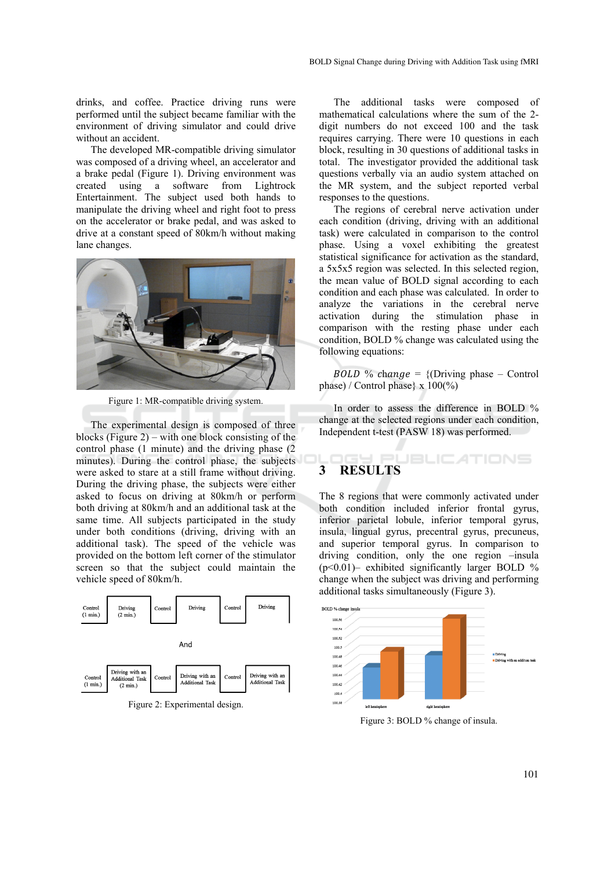drinks, and coffee. Practice driving runs were performed until the subject became familiar with the environment of driving simulator and could drive without an accident.

The developed MR-compatible driving simulator was composed of a driving wheel, an accelerator and a brake pedal (Figure 1). Driving environment was created using a software from Lightrock Entertainment. The subject used both hands to manipulate the driving wheel and right foot to press on the accelerator or brake pedal, and was asked to drive at a constant speed of 80km/h without making lane changes.



Figure 1: MR-compatible driving system.

The experimental design is composed of three blocks (Figure 2) – with one block consisting of the control phase (1 minute) and the driving phase (2 minutes). During the control phase, the subjects were asked to stare at a still frame without driving. During the driving phase, the subjects were either asked to focus on driving at 80km/h or perform both driving at 80km/h and an additional task at the same time. All subjects participated in the study under both conditions (driving, driving with an additional task). The speed of the vehicle was provided on the bottom left corner of the stimulator screen so that the subject could maintain the vehicle speed of 80km/h.



Figure 2: Experimental design.

The additional tasks were composed of mathematical calculations where the sum of the 2 digit numbers do not exceed 100 and the task requires carrying. There were 10 questions in each block, resulting in 30 questions of additional tasks in total. The investigator provided the additional task questions verbally via an audio system attached on the MR system, and the subject reported verbal responses to the questions.

The regions of cerebral nerve activation under each condition (driving, driving with an additional task) were calculated in comparison to the control phase. Using a voxel exhibiting the greatest statistical significance for activation as the standard, a 5x5x5 region was selected. In this selected region, the mean value of BOLD signal according to each condition and each phase was calculated. In order to analyze the variations in the cerebral nerve activation during the stimulation phase in comparison with the resting phase under each condition, BOLD % change was calculated using the following equations:

 $BOLD \%$  change = {(Driving phase – Control phase) / Control phase}  $x 100\frac{\%}{0}$ 

In order to assess the difference in BOLD % change at the selected regions under each condition, Independent t-test (PASW 18) was performed.

#### JBLICATIONS **3 RESULTS**

The 8 regions that were commonly activated under both condition included inferior frontal gyrus, inferior parietal lobule, inferior temporal gyrus, insula, lingual gyrus, precentral gyrus, precuneus, and superior temporal gyrus. In comparison to driving condition, only the one region –insula  $(p<0.01)$ – exhibited significantly larger BOLD % change when the subject was driving and performing additional tasks simultaneously (Figure 3).



Figure 3: BOLD % change of insula.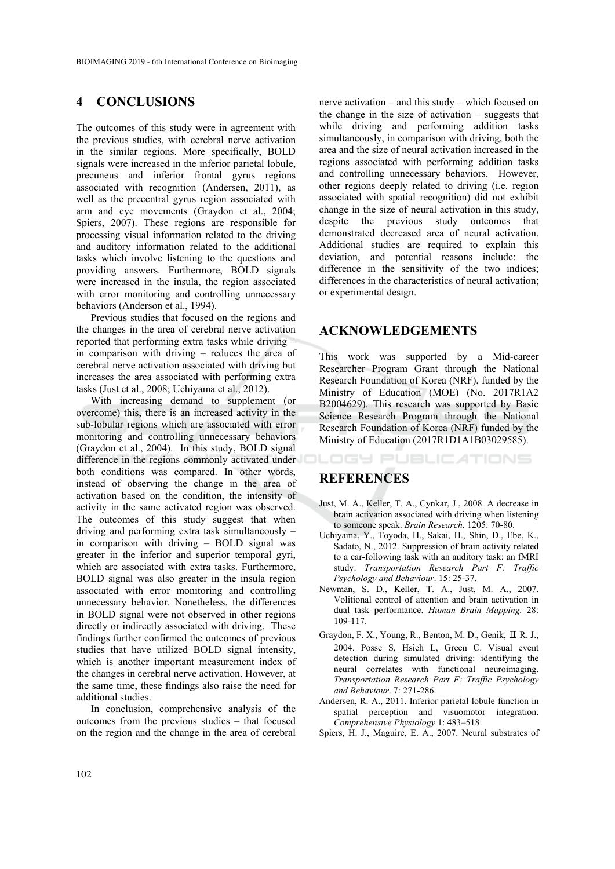## **4 CONCLUSIONS**

The outcomes of this study were in agreement with the previous studies, with cerebral nerve activation in the similar regions. More specifically, BOLD signals were increased in the inferior parietal lobule, precuneus and inferior frontal gyrus regions associated with recognition (Andersen, 2011), as well as the precentral gyrus region associated with arm and eye movements (Graydon et al., 2004; Spiers, 2007). These regions are responsible for processing visual information related to the driving and auditory information related to the additional tasks which involve listening to the questions and providing answers. Furthermore, BOLD signals were increased in the insula, the region associated with error monitoring and controlling unnecessary behaviors (Anderson et al., 1994).

Previous studies that focused on the regions and the changes in the area of cerebral nerve activation reported that performing extra tasks while driving – in comparison with driving – reduces the area of cerebral nerve activation associated with driving but increases the area associated with performing extra tasks (Just et al., 2008; Uchiyama et al., 2012).

With increasing demand to supplement (or overcome) this, there is an increased activity in the sub-lobular regions which are associated with error monitoring and controlling unnecessary behaviors (Graydon et al., 2004). In this study, BOLD signal difference in the regions commonly activated under both conditions was compared. In other words, instead of observing the change in the area of activation based on the condition, the intensity of activity in the same activated region was observed. The outcomes of this study suggest that when driving and performing extra task simultaneously – in comparison with driving – BOLD signal was greater in the inferior and superior temporal gyri, which are associated with extra tasks. Furthermore, BOLD signal was also greater in the insula region associated with error monitoring and controlling unnecessary behavior. Nonetheless, the differences in BOLD signal were not observed in other regions directly or indirectly associated with driving. These findings further confirmed the outcomes of previous studies that have utilized BOLD signal intensity, which is another important measurement index of the changes in cerebral nerve activation. However, at the same time, these findings also raise the need for additional studies.

In conclusion, comprehensive analysis of the outcomes from the previous studies – that focused on the region and the change in the area of cerebral

nerve activation – and this study – which focused on the change in the size of activation – suggests that while driving and performing addition tasks simultaneously, in comparison with driving, both the area and the size of neural activation increased in the regions associated with performing addition tasks and controlling unnecessary behaviors. However, other regions deeply related to driving (i.e. region associated with spatial recognition) did not exhibit change in the size of neural activation in this study, despite the previous study outcomes that demonstrated decreased area of neural activation. Additional studies are required to explain this deviation, and potential reasons include: the difference in the sensitivity of the two indices; differences in the characteristics of neural activation; or experimental design.

#### **ACKNOWLEDGEMENTS**

This work was supported by a Mid-career Researcher Program Grant through the National Research Foundation of Korea (NRF), funded by the Ministry of Education (MOE) (No. 2017R1A2 B2004629). This research was supported by Basic Science Research Program through the National Research Foundation of Korea (NRF) funded by the Ministry of Education (2017R1D1A1B03029585).

# **REFERENCES**

Just, M. A., Keller, T. A., Cynkar, J., 2008. A decrease in brain activation associated with driving when listening to someone speak. *Brain Research.* 1205: 70-80.

LOGY PUBLICATIONS

- Uchiyama, Y., Toyoda, H., Sakai, H., Shin, D., Ebe, K., Sadato, N., 2012. Suppression of brain activity related to a car-following task with an auditory task: an fMRI study. *Transportation Research Part F: Traffic Psychology and Behaviour*. 15: 25-37.
- Newman, S. D., Keller, T. A., Just, M. A., 2007. Volitional control of attention and brain activation in dual task performance. *Human Brain Mapping.* 28: 109-117.
- Graydon, F. X., Young, R., Benton, M. D., Genik, Ⅱ R. J., 2004. Posse S, Hsieh L, Green C. Visual event detection during simulated driving: identifying the neural correlates with functional neuroimaging. *Transportation Research Part F: Traffic Psychology and Behaviour*. 7: 271-286.
- Andersen, R. A., 2011. Inferior parietal lobule function in spatial perception and visuomotor integration. *Comprehensive Physiology* 1: 483–518.
- Spiers, H. J., Maguire, E. A., 2007. Neural substrates of